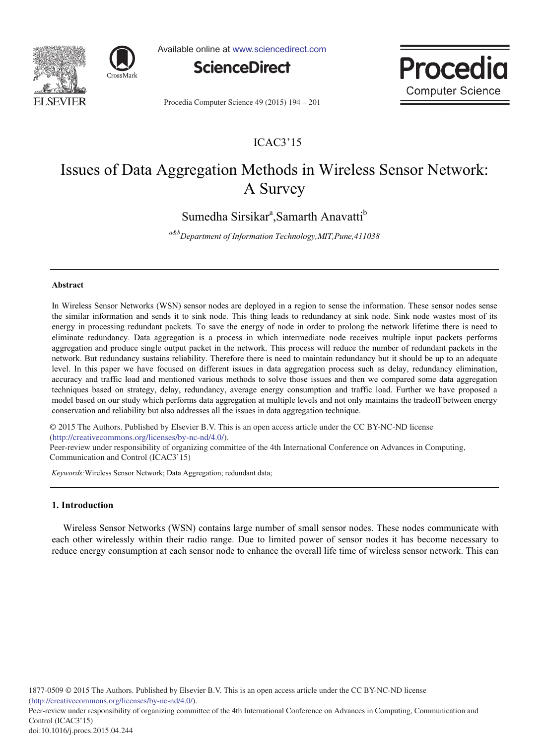



Available online at www.sciencedirect.com



Proced **Computer Science** 

Procedia Computer Science 49 (2015) 194 - 201

## ICAC3'15

# Issues of Data Aggregation Methods in Wireless Sensor Network: A Survey

Sumedha Sirsikar<sup>a</sup>, Samarth Anavatti<sup>b</sup>

<sup>a&b</sup>Department of Information Technology,MIT,Pune,411038

## **-**

In Wireless Sensor Networks (WSN) sensor nodes are deployed in a region to sense the information. These sensor nodes sense the similar information and sends it to sink node. This thing leads to redundancy at sink node. Sink node wastes most of its energy in processing redundant packets. To save the energy of node in order to prolong the network lifetime there is need to eliminate redundancy. Data aggregation is a process in which intermediate node receives multiple input packets performs aggregation and produce single output packet in the network. This process will reduce the number of redundant packets in the network. But redundancy sustains reliability. Therefore there is need to maintain redundancy but it should be up to an adequate level. In this paper we have focused on different issues in data aggregation process such as delay, redundancy elimination, accuracy and traffic load and mentioned various methods to solve those issues and then we compared some data aggregation techniques based on strategy, delay, redundancy, average energy consumption and traffic load. Further we have proposed a model based on our study which performs data aggregation at multiple levels and not only maintains the tradeoff between energy conservation and reliability but also addresses all the issues in data aggregation technique.

 $\cong$  2013 The Additions. Tubilished by Eisevier B.V. This<br>(http://creativecommons.org/licenses/by-nc-nd/4.0/). © 2015 The Authors. Published by Elsevier B.V. This is an open access article under the CC BY-NC-ND license

 $\alpha$ -review under responsibility of organizing committee of the 4th International Conference on Advances in Computing, Fee Terrew ander responsionly of organization and Control (ICAC3'15)

Keywords: Wireless Sensor Network; Data Aggregation; redundant data;

## 1. Introduction

Wireless Sensor Networks (WSN) contains large number of small sensor nodes. These nodes communicate with each other wirelessly within their radio range. Due to limited power of sensor nodes it has become necessary to reduce energy consumption at each sensor node to enhance the overall life time of wireless sensor network. This can

Peer-review under responsibility of organizing committee of the 4th International Conference on Advances in Computing, Communication and Control (ICAC3'15)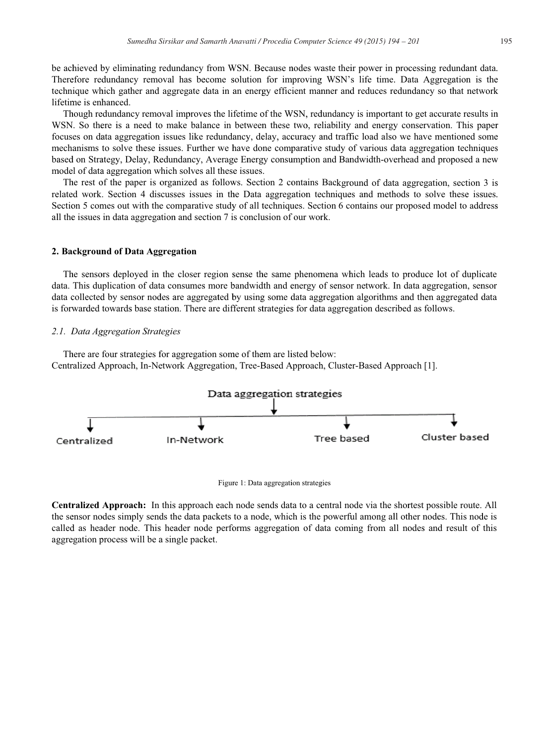195

be achieved by eliminating redundancy from WSN. Because nodes waste their power in processing redundant data. Therefore redundancy removal has become solution for improving WSN's life time. Data Aggregation is the technique which gather and aggregate data in an energy efficient manner and reduces redundancy so that network lifetime is enhanced.

Though redundancy removal improves the lifetime of the WSN, redundancy is important to get accurate results in WSN. So there is a need to make balance in between these two, reliability and energy conservation. This paper focuses on data aggregation issues like redundancy, delay, accuracy and traffic load also we have mentioned some mechanisms to solve these issues. Further we have done comparative study of various data aggregation techniques based on Strategy, Delay, Redundancy, Average Energy consumption and Bandwidth-overhead and proposed a new model of data aggregation which solves all these issues.

The rest of the paper is organized as follows. Section 2 contains Background of data aggregation, section 3 is related work. Section 4 discusses issues in the Data aggregation techniques and methods to solve these issues. Section 5 comes out with the comparative study of all techniques. Section 6 contains our proposed model to address all the issues in data aggregation and section 7 is conclusion of our work.

## 2. Background of Data Aggregation

The sensors deployed in the closer region sense the same phenomena which leads to produce lot of duplicate data. This duplication of data consumes more bandwidth and energy of sensor network. In data aggregation, sensor data collected by sensor nodes are aggregated by using some data aggregation algorithms and then aggregated data is forwarded towards base station. There are different strategies for data aggregation described as follows.

## 2.1. Data Aggregation Strategies

There are four strategies for aggregation some of them are listed below: Centralized Approach, In-Network Aggregation, Tree-Based Approach, Cluster-Based Approach [1].





**Centralized Approach:** In this approach each node sends data to a central node via the shortest possible route. All the sensor nodes simply sends the data packets to a node, which is the powerful among all other nodes. This node is called as header node. This header node performs aggregation of data coming from all nodes and result of this aggregation process will be a single packet.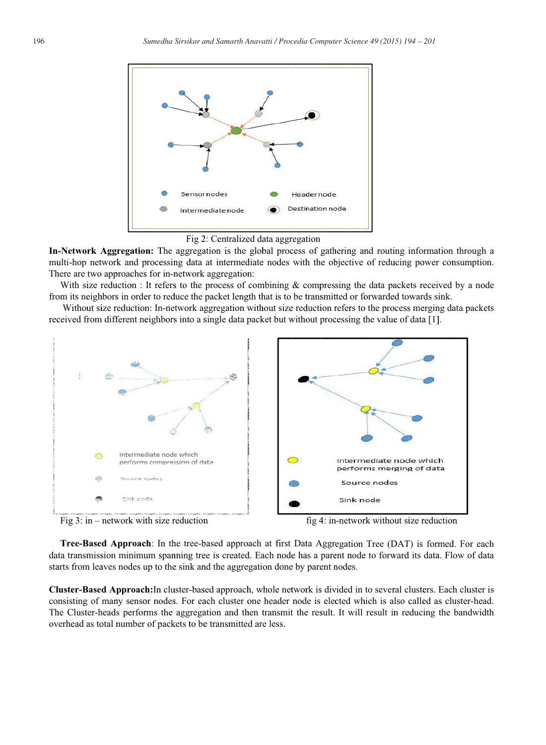



In-Network Aggregation: The aggregation is the global process of gathering and routing information through a multi-hop network and processing data at intermediate nodes with the objective of reducing power consumption. There are two approaches for in-network aggregation:

With size reduction: It refers to the process of combining & compressing the data packets received by a node from its neighbors in order to reduce the packet length that is to be transmitted or forwarded towards sink.

Without size reduction: In-network aggregation without size reduction refers to the process merging data packets received from different neighbors into a single data packet but without processing the value of data [1].



Fig  $3:$  in – network with size reduction

fig 4: in-network without size reduction

Tree-Based Approach: In the tree-based approach at first Data Aggregation Tree (DAT) is formed. For each data transmission minimum spanning tree is created. Each node has a parent node to forward its data. Flow of data starts from leaves nodes up to the sink and the aggregation done by parent nodes.

Cluster-Based Approach: In cluster-based approach, whole network is divided in to several clusters. Each cluster is consisting of many sensor nodes. For each cluster one header node is elected which is also called as cluster-head. The Cluster-heads performs the aggregation and then transmit the result. It will result in reducing the bandwidth overhead as total number of packets to be transmitted are less.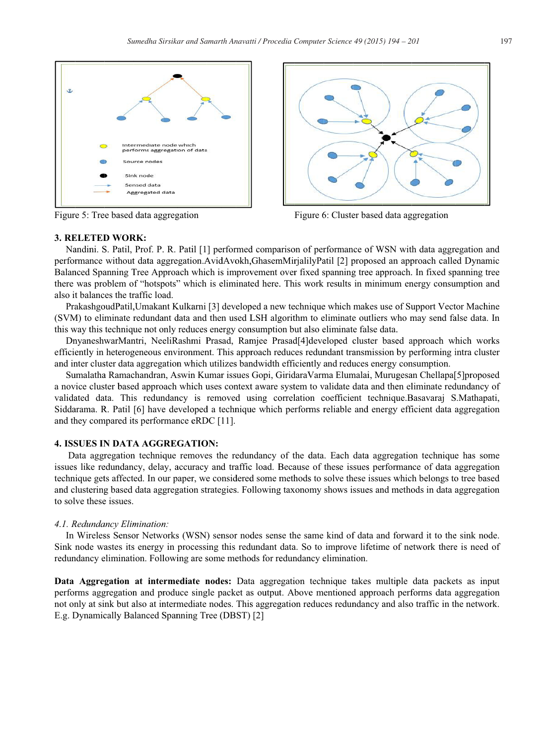

Figure 5: Tree based data aggregation



Figure 6: Cluster based data aggregation

#### **3. RELETED WORK:**

Nandini. S. Patil, Prof. P. R. Patil [1] performed comparison of performance of WSN with data aggregation and performance without data aggregation.AvidAvokh,GhasemMirjalilyPatil [2] proposed an approach called Dynamic Balanced Spanning Tree Approach which is improvement over fixed spanning tree approach. In fixed spanning tree there was problem of "hotspots" which is eliminated here. This work results in minimum energy consumption and also it balances the traffic load.

PrakashgoudPatil, Umakant Kulkarni [3] developed a new technique which makes use of Support Vector Machine (SVM) to eliminate redundant data and then used LSH algorithm to eliminate outliers who may send false data. In this way this technique not only reduces energy consumption but also eliminate false data.

DnyaneshwarMantri, NeeliRashmi Prasad, Ramjee Prasad[4]developed cluster based approach which works efficiently in heterogeneous environment. This approach reduces redundant transmission by performing intra cluster and inter cluster data aggregation which utilizes bandwidth efficiently and reduces energy consumption.

Sumalatha Ramachandran, Aswin Kumar issues Gopi, Giridara Varma Elumalai, Murugesan Chellapa[5]proposed a novice cluster based approach which uses context aware system to validate data and then eliminate redundancy of validated data. This redundancy is removed using correlation coefficient technique. Basavaraj S.Mathapati, Siddarama. R. Patil [6] have developed a technique which performs reliable and energy efficient data aggregation and they compared its performance eRDC [11].

## **4. ISSUES IN DATA AGGREGATION:**

Data aggregation technique removes the redundancy of the data. Each data aggregation technique has some issues like redundancy, delay, accuracy and traffic load. Because of these issues performance of data aggregation technique gets affected. In our paper, we considered some methods to solve these issues which belongs to tree based and clustering based data aggregation strategies. Following taxonomy shows issues and methods in data aggregation to solve these issues.

#### 4.1. Redundancy Elimination:

In Wireless Sensor Networks (WSN) sensor nodes sense the same kind of data and forward it to the sink node. Sink node wastes its energy in processing this redundant data. So to improve lifetime of network there is need of redundancy elimination. Following are some methods for redundancy elimination.

Data Aggregation at intermediate nodes: Data aggregation technique takes multiple data packets as input performs aggregation and produce single packet as output. Above mentioned approach performs data aggregation not only at sink but also at intermediate nodes. This aggregation reduces redundancy and also traffic in the network. E.g. Dynamically Balanced Spanning Tree (DBST) [2]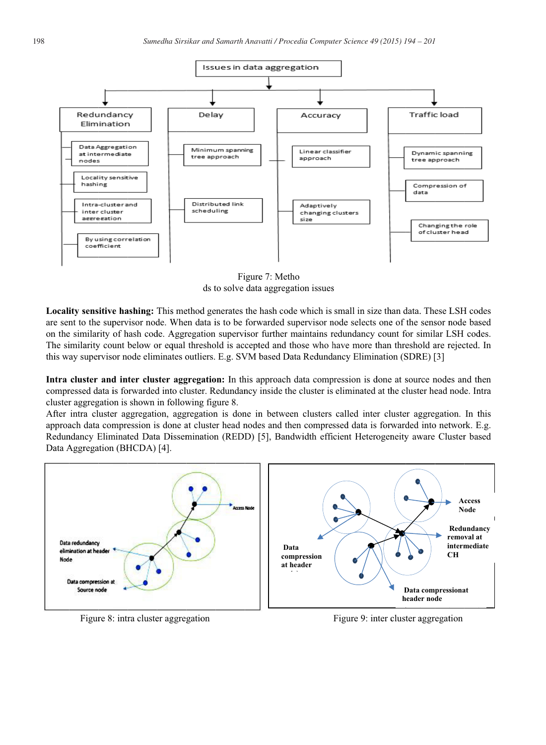

Figure 7: Metho ds to solve data aggregation issues

Locality sensitive hashing: This method generates the hash code which is small in size than data. These LSH codes are sent to the supervisor node. When data is to be forwarded supervisor node selects one of the sensor node based on the similarity of hash code. Aggregation supervisor further maintains redundancy count for similar LSH codes. The similarity count below or equal threshold is accepted and those who have more than threshold are rejected. In this way supervisor node eliminates outliers. E.g. SVM based Data Redundancy Elimination (SDRE) [3]

Intra cluster and inter cluster aggregation: In this approach data compression is done at source nodes and then compressed data is forwarded into cluster. Redundancy inside the cluster is eliminated at the cluster head node. Intra cluster aggregation is shown in following figure 8.

After intra cluster aggregation, aggregation is done in between clusters called inter cluster aggregation. In this approach data compression is done at cluster head nodes and then compressed data is forwarded into network. E.g. Redundancy Eliminated Data Dissemination (REDD) [5], Bandwidth efficient Heterogeneity aware Cluster based Data Aggregation (BHCDA) [4].



Figure 8: intra cluster aggregation

Figure 9: inter cluster aggregation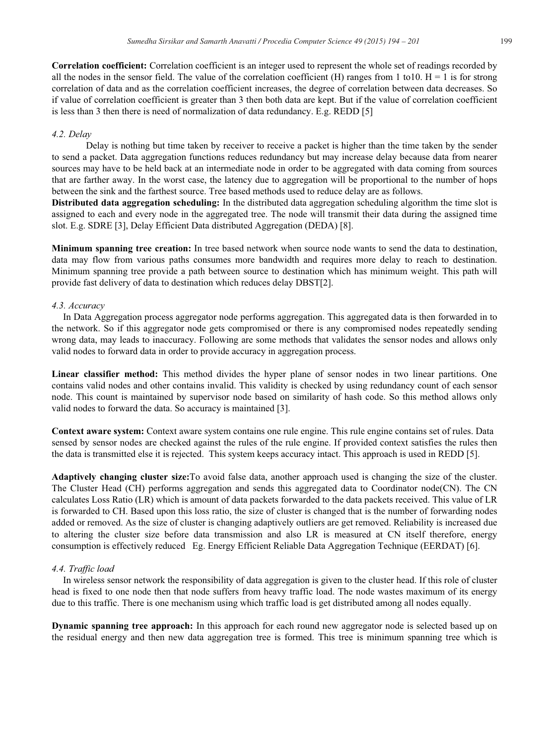Correlation coefficient: Correlation coefficient is an integer used to represent the whole set of readings recorded by all the nodes in the sensor field. The value of the correlation coefficient (H) ranges from 1 to 10.  $H = 1$  is for strong correlation of data and as the correlation coefficient increases, the degree of correlation between data decreases. So if value of correlation coefficient is greater than 3 then both data are kept. But if the value of correlation coefficient is less than 3 then there is need of normalization of data redundancy. E.g. REDD [5]

## 4.2. Delay

Delay is nothing but time taken by receiver to receive a packet is higher than the time taken by the sender to send a packet. Data aggregation functions reduces redundancy but may increase delay because data from nearer sources may have to be held back at an intermediate node in order to be aggregated with data coming from sources that are farther away. In the worst case, the latency due to aggregation will be proportional to the number of hops between the sink and the farthest source. Tree based methods used to reduce delay are as follows.

**Distributed data aggregation scheduling:** In the distributed data aggregation scheduling algorithm the time slot is assigned to each and every node in the aggregated tree. The node will transmit their data during the assigned time slot. E.g. SDRE [3], Delay Efficient Data distributed Aggregation (DEDA) [8].

**Minimum spanning tree creation:** In tree based network when source node wants to send the data to destination, data may flow from various paths consumes more bandwidth and requires more delay to reach to destination. Minimum spanning tree provide a path between source to destination which has minimum weight. This path will provide fast delivery of data to destination which reduces delay DBST[2].

## 4.3. Accuracy

In Data Aggregation process aggregator node performs aggregation. This aggregated data is then forwarded in to the network. So if this aggregator node gets compromised or there is any compromised nodes repeatedly sending wrong data, may leads to inaccuracy. Following are some methods that validates the sensor nodes and allows only valid nodes to forward data in order to provide accuracy in aggregation process.

Linear classifier method: This method divides the hyper plane of sensor nodes in two linear partitions. One contains valid nodes and other contains invalid. This validity is checked by using redundancy count of each sensor node. This count is maintained by supervisor node based on similarity of hash code. So this method allows only valid nodes to forward the data. So accuracy is maintained [3].

Context aware system: Context aware system contains one rule engine. This rule engine contains set of rules. Data sensed by sensor nodes are checked against the rules of the rule engine. If provided context satisfies the rules then the data is transmitted else it is rejected. This system keeps accuracy intact. This approach is used in REDD [5].

Adaptively changing cluster size: To avoid false data, another approach used is changing the size of the cluster. The Cluster Head (CH) performs aggregation and sends this aggregated data to Coordinator node(CN). The CN calculates Loss Ratio (LR) which is amount of data packets forwarded to the data packets received. This value of LR is forwarded to CH. Based upon this loss ratio, the size of cluster is changed that is the number of forwarding nodes added or removed. As the size of cluster is changing adaptively outliers are get removed. Reliability is increased due to altering the cluster size before data transmission and also LR is measured at CN itself therefore, energy consumption is effectively reduced Eg. Energy Efficient Reliable Data Aggregation Technique (EERDAT) [6].

## 4.4. Traffic load

In wireless sensor network the responsibility of data aggregation is given to the cluster head. If this role of cluster head is fixed to one node then that node suffers from heavy traffic load. The node wastes maximum of its energy due to this traffic. There is one mechanism using which traffic load is get distributed among all nodes equally.

Dynamic spanning tree approach: In this approach for each round new aggregator node is selected based up on the residual energy and then new data aggregation tree is formed. This tree is minimum spanning tree which is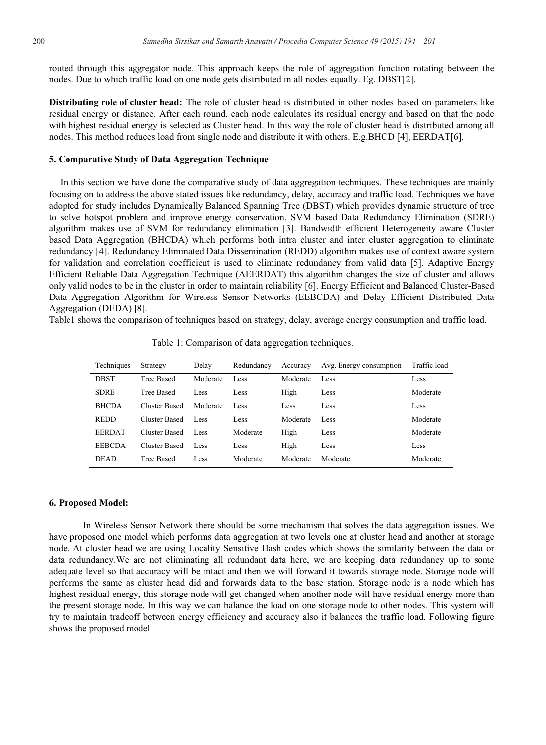routed through this aggregator node. This approach keeps the role of aggregation function rotating between the nodes. Due to which traffic load on one node gets distributed in all nodes equally. Eg. DBST[2].

**Distributing role of cluster head:** The role of cluster head is distributed in other nodes based on parameters like residual energy or distance. After each round, each node calculates its residual energy and based on that the node with highest residual energy is selected as Cluster head. In this way the role of cluster head is distributed among all nodes. This method reduces load from single node and distribute it with others. E.g.BHCD [4], EERDAT[6].

#### 5. Comparative Study of Data Aggregation Technique

In this section we have done the comparative study of data aggregation techniques. These techniques are mainly focusing on to address the above stated issues like redundancy, delay, accuracy and traffic load. Techniques we have adopted for study includes Dynamically Balanced Spanning Tree (DBST) which provides dynamic structure of tree to solve hotspot problem and improve energy conservation. SVM based Data Redundancy Elimination (SDRE) algorithm makes use of SVM for redundancy elimination [3]. Bandwidth efficient Heterogeneity aware Cluster based Data Aggregation (BHCDA) which performs both intra cluster and inter cluster aggregation to eliminate redundancy [4]. Redundancy Eliminated Data Dissemination (REDD) algorithm makes use of context aware system for validation and correlation coefficient is used to eliminate redundancy from valid data [5]. Adaptive Energy Efficient Reliable Data Aggregation Technique (AEERDAT) this algorithm changes the size of cluster and allows only valid nodes to be in the cluster in order to maintain reliability [6]. Energy Efficient and Balanced Cluster-Based Data Aggregation Algorithm for Wireless Sensor Networks (EEBCDA) and Delay Efficient Distributed Data Aggregation (DEDA) [8].

Table1 shows the comparison of techniques based on strategy, delay, average energy consumption and traffic load.

| Techniques    | Strategy             | Delay    | Redundancy | Accuracy | Avg. Energy consumption | Traffic load |
|---------------|----------------------|----------|------------|----------|-------------------------|--------------|
| <b>DBST</b>   | <b>Tree Based</b>    | Moderate | Less       | Moderate | Less                    | Less         |
| <b>SDRE</b>   | Tree Based           | Less     | Less       | High     | Less                    | Moderate     |
| <b>BHCDA</b>  | <b>Cluster Based</b> | Moderate | Less       | Less     | Less                    | Less         |
| <b>REDD</b>   | <b>Cluster Based</b> | Less     | Less       | Moderate | Less                    | Moderate     |
| <b>EERDAT</b> | Cluster Based        | Less     | Moderate   | High     | Less                    | Moderate     |
| <b>EEBCDA</b> | <b>Cluster Based</b> | Less     | Less       | High     | Less                    | Less         |
| <b>DEAD</b>   | <b>Tree Based</b>    | Less     | Moderate   | Moderate | Moderate                | Moderate     |

Table 1: Comparison of data aggregation techniques.

## 6. Proposed Model:

In Wireless Sensor Network there should be some mechanism that solves the data aggregation issues. We have proposed one model which performs data aggregation at two levels one at cluster head and another at storage node. At cluster head we are using Locality Sensitive Hash codes which shows the similarity between the data or data redundancy. We are not eliminating all redundant data here, we are keeping data redundancy up to some adequate level so that accuracy will be intact and then we will forward it towards storage node. Storage node will performs the same as cluster head did and forwards data to the base station. Storage node is a node which has highest residual energy, this storage node will get changed when another node will have residual energy more than the present storage node. In this way we can balance the load on one storage node to other nodes. This system will try to maintain tradeoff between energy efficiency and accuracy also it balances the traffic load. Following figure shows the proposed model